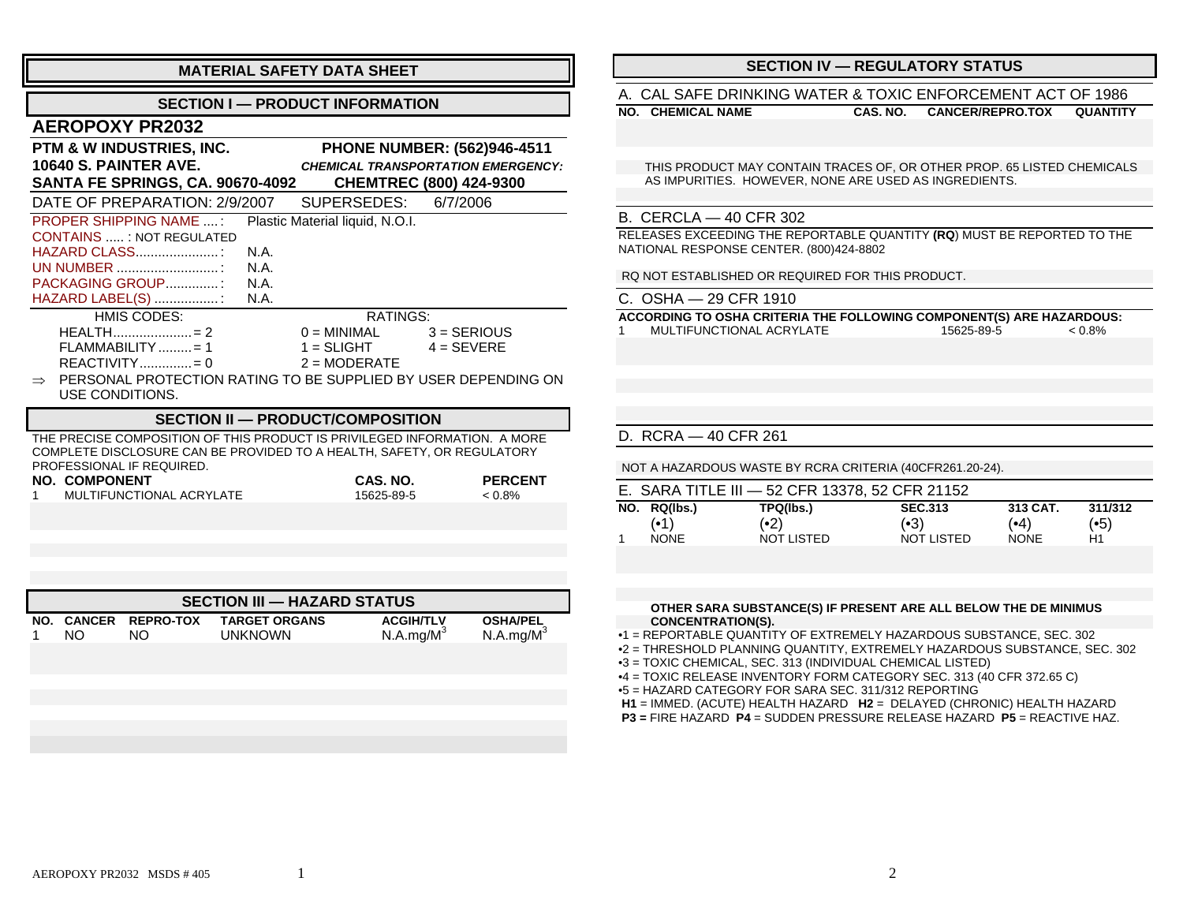| <b>MATERIAL SAFETY DATA SHEET</b>                                                                    |                                                           |  |  |
|------------------------------------------------------------------------------------------------------|-----------------------------------------------------------|--|--|
| <b>SECTION I - PRODUCT INFORMATION</b>                                                               |                                                           |  |  |
| <b>AEROPOXY PR2032</b>                                                                               |                                                           |  |  |
| PTM & W INDUSTRIES, INC.                                                                             | <b>PHONE NUMBER: (562)946-4511</b>                        |  |  |
| 10640 S. PAINTER AVE.                                                                                | <b>CHEMICAL TRANSPORTATION EMERGENCY:</b>                 |  |  |
| <b>SANTA FE SPRINGS, CA. 90670-4092</b><br>DATE OF PREPARATION: 2/9/2007                             | <b>CHEMTREC (800) 424-9300</b><br>SUPERSEDES:<br>6/7/2006 |  |  |
|                                                                                                      |                                                           |  |  |
| <b>PROPER SHIPPING NAME :</b>                                                                        | Plastic Material liquid, N.O.I.                           |  |  |
| <b>CONTAINS  : NOT REGULATED</b>                                                                     |                                                           |  |  |
| HAZARD CLASS<br>N.A.                                                                                 |                                                           |  |  |
| UN NUMBER<br>N.A.                                                                                    |                                                           |  |  |
| PACKAGING GROUP<br>N.A.                                                                              |                                                           |  |  |
| HAZARD LABEL(S) :<br>N.A.                                                                            |                                                           |  |  |
| HMIS CODES:                                                                                          | RATINGS:                                                  |  |  |
|                                                                                                      | $0 = MINIMAL$ $3 = SERIOUS$                               |  |  |
| $FLAMMABILITY$ = 1                                                                                   | $1 = SLIGHT$ $4 = SEVERE$                                 |  |  |
| $REACTIVITY$ = 0                                                                                     | $2 = MODERATE$                                            |  |  |
| PERSONAL PROTECTION RATING TO BE SUPPLIED BY USER DEPENDING ON<br>$\Rightarrow$                      |                                                           |  |  |
| USE CONDITIONS.                                                                                      |                                                           |  |  |
|                                                                                                      |                                                           |  |  |
| <b>SECTION II - PRODUCT/COMPOSITION</b>                                                              |                                                           |  |  |
| THE PRECISE COMPOSITION OF THIS PRODUCT IS PRIVILEGED INFORMATION. A MORE                            |                                                           |  |  |
| COMPLETE DISCLOSURE CAN BE PROVIDED TO A HEALTH, SAFETY, OR REGULATORY<br>DDAEESSIANAL IE DEALIIDEN. |                                                           |  |  |

PROFESSIONAL IF REQUIRED. **NO. COMPONENT CAS. NO. PERCENT**  1 MULTIFUNCTIONAL ACRYLATE15625-89-5 < 0.8%

| <b>SECTION III — HAZARD STATUS</b> |     |                                |                                        |                                           |                                          |
|------------------------------------|-----|--------------------------------|----------------------------------------|-------------------------------------------|------------------------------------------|
| NO.                                | NO. | <b>CANCER REPRO-TOX</b><br>NO. | <b>TARGET ORGANS</b><br><b>UNKNOWN</b> | <b>ACGIH/TLV</b><br>N.A.mg/M <sup>3</sup> | <b>OSHA/PEL</b><br>N.A.mg/M <sup>3</sup> |
|                                    |     |                                |                                        |                                           |                                          |

### **SECTION IV — REGULATORY STATUS**

#### A. CAL SAFE DRINKING WATER & TOXIC ENFORCEMENT ACT OF 1986

**NO. CHEMICAL NAME**

**CAS. NO. CANCER/REPRO.TOX QUANTITY**

 THIS PRODUCT MAY CONTAIN TRACES OF, OR OTHER PROP. 65 LISTED CHEMICALS AS IMPURITIES. HOWEVER, NONE ARE USED AS INGREDIENTS.

#### B. CERCLA — 40 CFR 302

RELEASES EXCEEDING THE REPORTABLE QUANTITY **(RQ**) MUST BE REPORTED TO THE NATIONAL RESPONSE CENTER. (800)424-8802

RQ NOT ESTABLISHED OR REQUIRED FOR THIS PRODUCT.

|  | C.  OSHA — 29 CFR 1910 |  |
|--|------------------------|--|
|  |                        |  |

**ACCORDING TO OSHA CRITERIA THE FOLLOWING COMPONENT(S) ARE HAZARDOUS:** 1 MULTIFUNCTIONAL ACRYLATE15625-89-5 < 0.8%

#### D. RCRA — 40 CFR 261

NOT A HAZARDOUS WASTE BY RCRA CRITERIA (40CFR261.20-24).

| E. SARA TITLE III - 52 CFR 13378, 52 CFR 21152 |            |                |             |         |
|------------------------------------------------|------------|----------------|-------------|---------|
| NO. RQ(lbs.)                                   | TPQ(lbs.)  | <b>SEC.313</b> | 313 CAT.    | 311/312 |
| (•1)                                           | (•2)       | (•3)           | (•4)        | (•5)    |
| <b>NONE</b>                                    | NOT LISTED | NOT LISTED     | <b>NONE</b> | H1      |

#### **OTHER SARA SUBSTANCE(S) IF PRESENT ARE ALL BELOW THE DE MINIMUS CONCENTRATION(S).**

•1 = REPORTABLE QUANTITY OF EXTREMELY HAZARDOUS SUBSTANCE, SEC. 302 •2 = THRESHOLD PLANNING QUANTITY, EXTREMELY HAZARDOUS SUBSTANCE, SEC. 302

•3 = TOXIC CHEMICAL, SEC. 313 (INDIVIDUAL CHEMICAL LISTED)

•4 = TOXIC RELEASE INVENTORY FORM CATEGORY SEC. 313 (40 CFR 372.65 C)

•5 = HAZARD CATEGORY FOR SARA SEC. 311/312 REPORTING

**H1** = IMMED. (ACUTE) HEALTH HAZARD **H2** = DELAYED (CHRONIC) HEALTH HAZARD

 **P3 =** FIRE HAZARD **P4** = SUDDEN PRESSURE RELEASE HAZARD **P5** = REACTIVE HAZ.